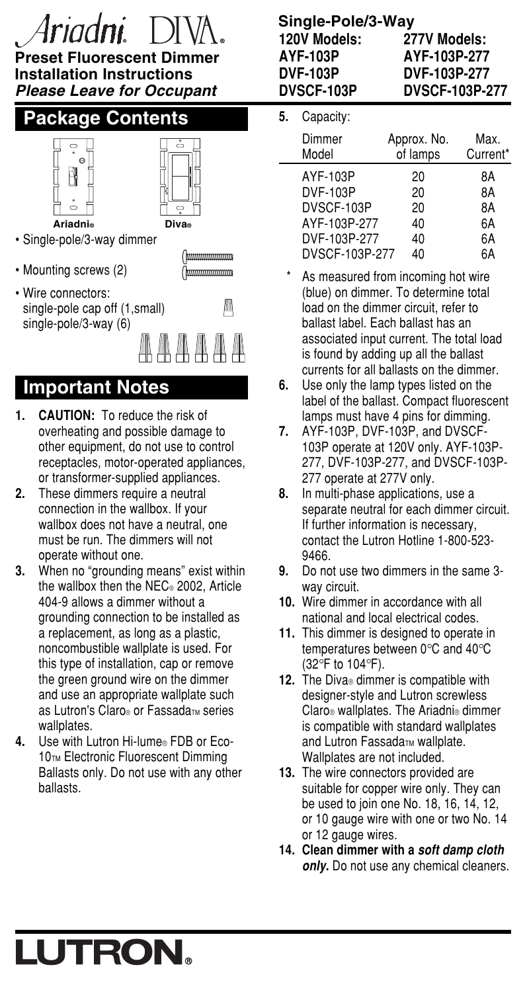# Ir*indni*

#### **Preset Fluorescent Dimmer Installation Instructions Please Leave for Occupant**

## **Package Contents**





- Single-pole/3-way dimmer
- Mounting screws (2)



• Wire connectors: single-pole cap off (1,small) single-pole/3-way (6)

**Important Notes**

- **1. CAUTION:** To reduce the risk of overheating and possible damage to other equipment, do not use to control receptacles, motor-operated appliances, or transformer-supplied appliances.
- **2.** These dimmers require a neutral connection in the wallbox. If your wallbox does not have a neutral, one must be run. The dimmers will not operate without one.
- **3.** When no "grounding means" exist within the wallbox then the NEC® 2002, Article 404-9 allows a dimmer without a grounding connection to be installed as a replacement, as long as a plastic, noncombustible wallplate is used. For this type of installation, cap or remove the green ground wire on the dimmer and use an appropriate wallplate such as Lutron's Claro® or Fassada™ series wallplates.
- **4.** Use with Lutron Hi-lume® FDB or Eco-10TM Electronic Fluorescent Dimming Ballasts only. Do not use with any other ballasts.

# **Single-Pole/3-Way**

| 120V Models:      | 277V Models:          |
|-------------------|-----------------------|
| AYF-103P          | AYF-103P-277          |
| <b>DVF-103P</b>   | <b>DVF-103P-277</b>   |
| <b>DVSCF-103P</b> | <b>DVSCF-103P-277</b> |

### **5.** Capacity:

| Dimmer<br>Model | Approx. No.<br>of lamps | Max.<br>Current <sup>*</sup> |
|-----------------|-------------------------|------------------------------|
| AYF-103P        | 20                      | 8Α                           |
| DVF-103P        | 20                      | 8A                           |
| DVSCF-103P      | 20                      | 8A                           |
| AYF-103P-277    | 40                      | 6A                           |
| DVF-103P-277    | 40                      | 6A                           |
| DVSCF-103P-277  | 40                      | 6A                           |

- As measured from incoming hot wire (blue) on dimmer. To determine total load on the dimmer circuit, refer to ballast label. Each ballast has an associated input current. The total load is found by adding up all the ballast currents for all ballasts on the dimmer.
- **6.** Use only the lamp types listed on the label of the ballast. Compact fluorescent lamps must have 4 pins for dimming.
- **7.** AYF-103P, DVF-103P, and DVSCF-103P operate at 120V only. AYF-103P-277, DVF-103P-277, and DVSCF-103P-277 operate at 277V only.
- **8.** In multi-phase applications, use a separate neutral for each dimmer circuit. If further information is necessary, contact the Lutron Hotline 1-800-523- 9466.
- **9.** Do not use two dimmers in the same 3 way circuit.
- **10.** Wire dimmer in accordance with all national and local electrical codes.
- **11.** This dimmer is designed to operate in temperatures between 0°C and 40°C (32°F to 104°F).
- **12.** The Diva® dimmer is compatible with designer-style and Lutron screwless Claro® wallplates. The Ariadni® dimmer is compatible with standard wallplates and Lutron Fassada<sub>TM</sub> wallplate. Wallplates are not included.
- **13.** The wire connectors provided are suitable for copper wire only. They can be used to join one No. 18, 16, 14, 12, or 10 gauge wire with one or two No. 14 or 12 gauge wires.
- **14. Clean dimmer with a soft damp cloth only.** Do not use any chemical cleaners.

# LUTRON.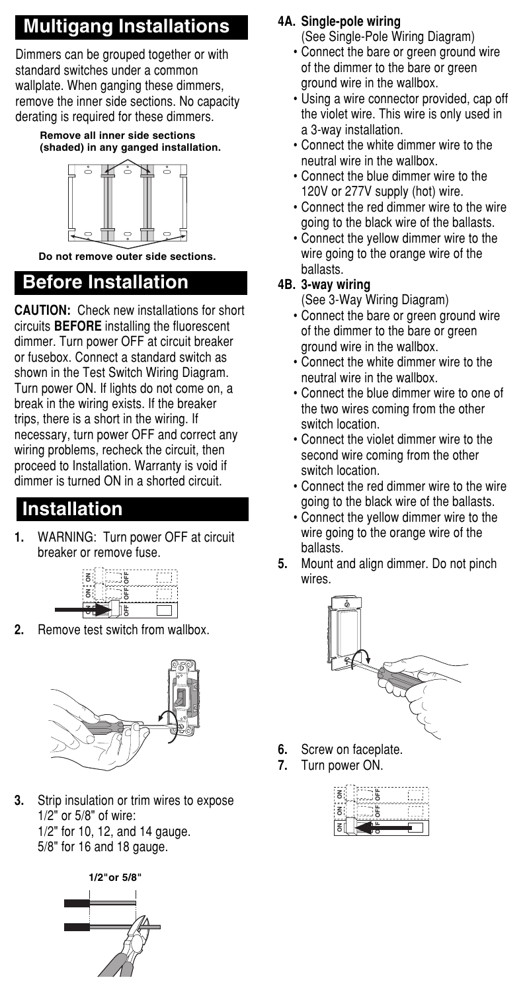## **Multigang Installations**

Dimmers can be grouped together or with standard switches under a common wallplate. When ganging these dimmers, remove the inner side sections. No capacity derating is required for these dimmers.

#### **Remove all inner side sections (shaded) in any ganged installation.**



**Do not remove outer side sections.**

# **Before Installation**

**CAUTION:** Check new installations for short circuits **BEFORE** installing the fluorescent dimmer. Turn power OFF at circuit breaker or fusebox. Connect a standard switch as shown in the Test Switch Wiring Diagram. Turn power ON. If lights do not come on, a break in the wiring exists. If the breaker trips, there is a short in the wiring. If necessary, turn power OFF and correct any wiring problems, recheck the circuit, then proceed to Installation. Warranty is void if dimmer is turned ON in a shorted circuit.

## **Installation**

**1.** WARNING: Turn power OFF at circuit breaker or remove fuse.

| ۴<br>ュ |  |
|--------|--|
| ٠<br>s |  |
| ۴      |  |
|        |  |
|        |  |

**2.** Remove test switch from wallbox.



**3.** Strip insulation or trim wires to expose 1/2" or 5/8" of wire: 1/2" for 10, 12, and 14 gauge. 5/8" for 16 and 18 gauge.



### **4A. Single-pole wiring**

(See Single-Pole Wiring Diagram)

- Connect the bare or green ground wire of the dimmer to the bare or green ground wire in the wallbox.
- Using a wire connector provided, cap off the violet wire. This wire is only used in a 3-way installation.
- Connect the white dimmer wire to the neutral wire in the wallbox.
- Connect the blue dimmer wire to the 120V or 277V supply (hot) wire.
- Connect the red dimmer wire to the wire going to the black wire of the ballasts.
- Connect the yellow dimmer wire to the wire going to the orange wire of the ballasts.

#### **4B. 3-way wiring**

(See 3-Way Wiring Diagram)

- Connect the bare or green ground wire of the dimmer to the bare or green ground wire in the wallbox.
- Connect the white dimmer wire to the neutral wire in the wallbox.
- Connect the blue dimmer wire to one of the two wires coming from the other switch location.
- Connect the violet dimmer wire to the second wire coming from the other switch location.
- Connect the red dimmer wire to the wire going to the black wire of the ballasts.
- Connect the yellow dimmer wire to the wire going to the orange wire of the ballasts.
- **5.** Mount and align dimmer. Do not pinch wires.



- **6.** Screw on faceplate.
- **7.** Turn power ON.

|   | គ |  |
|---|---|--|
|   | â |  |
| ۰ | o |  |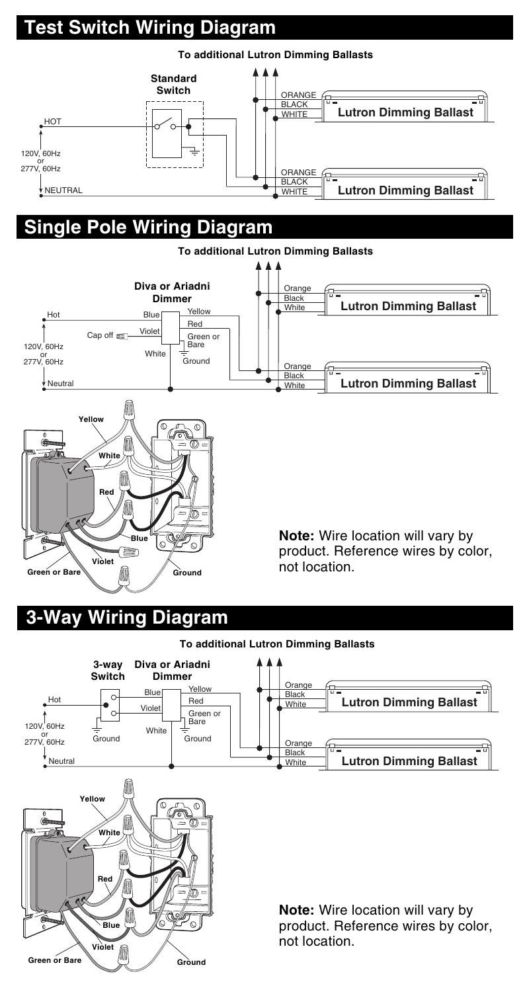# **Test Switch Wiring Diagram**



## **Single Pole Wiring Diagram**



## **3-Way Wiring Diagram**

**Green or Bare**

#### **To additional Lutron Dimming Ballasts**



**Ground**